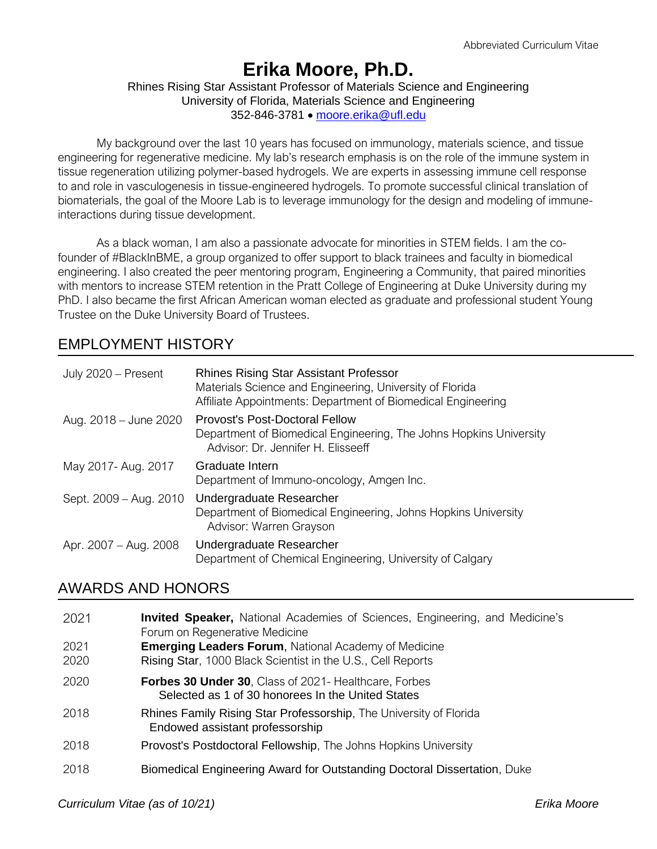# **Erika Moore, Ph.D.**

#### Rhines Rising Star Assistant Professor of Materials Science and Engineering University of Florida, Materials Science and Engineering 352-846-3781 • [moore.erika@ufl.edu](mailto:moore.erika@ufl.edu)

My background over the last 10 years has focused on immunology, materials science, and tissue engineering for regenerative medicine. My lab's research emphasis is on the role of the immune system in tissue regeneration utilizing polymer-based hydrogels. We are experts in assessing immune cell response to and role in vasculogenesis in tissue-engineered hydrogels. To promote successful clinical translation of biomaterials, the goal of the Moore Lab is to leverage immunology for the design and modeling of immuneinteractions during tissue development.

As a black woman, I am also a passionate advocate for minorities in STEM fields. I am the cofounder of #BlackInBME, a group organized to offer support to black trainees and faculty in biomedical engineering. I also created the peer mentoring program, Engineering a Community, that paired minorities with mentors to increase STEM retention in the Pratt College of Engineering at Duke University during my PhD. I also became the first African American woman elected as graduate and professional student Young Trustee on the Duke University Board of Trustees.

# EMPLOYMENT HISTORY

| July 2020 - Present    | <b>Rhines Rising Star Assistant Professor</b><br>Materials Science and Engineering, University of Florida<br>Affiliate Appointments: Department of Biomedical Engineering |
|------------------------|---------------------------------------------------------------------------------------------------------------------------------------------------------------------------|
| Aug. 2018 – June 2020  | Provost's Post-Doctoral Fellow<br>Department of Biomedical Engineering, The Johns Hopkins University<br>Advisor: Dr. Jennifer H. Elisseeff                                |
| May 2017- Aug. 2017    | Graduate Intern<br>Department of Immuno-oncology, Amgen Inc.                                                                                                              |
| Sept. 2009 - Aug. 2010 | Undergraduate Researcher<br>Department of Biomedical Engineering, Johns Hopkins University<br>Advisor: Warren Grayson                                                     |
| Apr. 2007 – Aug. 2008  | Undergraduate Researcher<br>Department of Chemical Engineering, University of Calgary                                                                                     |

# AWARDS AND HONORS

| 2021         | <b>Invited Speaker,</b> National Academies of Sciences, Engineering, and Medicine's<br>Forum on Regenerative Medicine      |
|--------------|----------------------------------------------------------------------------------------------------------------------------|
| 2021<br>2020 | <b>Emerging Leaders Forum, National Academy of Medicine</b><br>Rising Star, 1000 Black Scientist in the U.S., Cell Reports |
| 2020         | <b>Forbes 30 Under 30.</b> Class of 2021- Healthcare, Forbes<br>Selected as 1 of 30 honorees In the United States          |
| 2018         | Rhines Family Rising Star Professorship, The University of Florida<br>Endowed assistant professorship                      |
| 2018         | Provost's Postdoctoral Fellowship, The Johns Hopkins University                                                            |
| 2018         | Biomedical Engineering Award for Outstanding Doctoral Dissertation, Duke                                                   |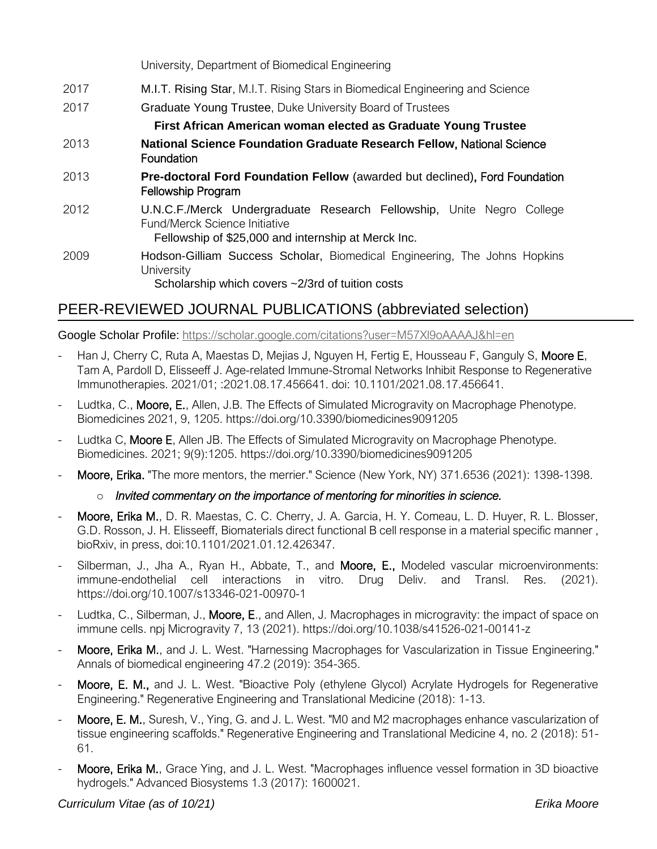University, Department of Biomedical Engineering

- 2017 M.I.T. Rising Star, M.I.T. Rising Stars in Biomedical Engineering and Science
- 2017 Graduate Young Trustee, Duke University Board of Trustees

## **First African American woman elected as Graduate Young Trustee**

- 2013 **National Science Foundation Graduate Research Fellow**, National Science Foundation
- 2013 **Pre-doctoral Ford Foundation Fellow** (awarded but declined), Ford Foundation Fellowship Program
- 2012 U.N.C.F./Merck Undergraduate Research Fellowship, Unite Negro College Fund/Merck Science Initiative

Fellowship of \$25,000 and internship at Merck Inc.

2009 Hodson-Gilliam Success Scholar, Biomedical Engineering, The Johns Hopkins **University** 

Scholarship which covers ~2/3rd of tuition costs

# PEER-REVIEWED JOURNAL PUBLICATIONS (abbreviated selection)

Google Scholar Profile: <https://scholar.google.com/citations?user=M57Xl9oAAAAJ&hl=en>

- Han J, Cherry C, Ruta A, Maestas D, Mejias J, Nguyen H, Fertig E, Housseau F, Ganguly S, Moore E, Tam A, Pardoll D, Elisseeff J. Age-related Immune-Stromal Networks Inhibit Response to Regenerative Immunotherapies. 2021/01; :2021.08.17.456641. doi: 10.1101/2021.08.17.456641.
- Ludtka, C., Moore, E., Allen, J.B. The Effects of Simulated Microgravity on Macrophage Phenotype. Biomedicines 2021, 9, 1205. https://doi.org/10.3390/biomedicines9091205
- Ludtka C, Moore E, Allen JB. The Effects of Simulated Microgravity on Macrophage Phenotype. Biomedicines. 2021; 9(9):1205. https://doi.org/10.3390/biomedicines9091205
- Moore, Erika. "The more mentors, the merrier." Science (New York, NY) 371.6536 (2021): 1398-1398.

# o *Invited commentary on the importance of mentoring for minorities in science.*

- Moore, Erika M., D. R. Maestas, C. C. Cherry, J. A. Garcia, H. Y. Comeau, L. D. Huyer, R. L. Blosser, G.D. Rosson, J. H. Elisseeff, Biomaterials direct functional B cell response in a material specific manner , bioRxiv, in press, doi:10.1101/2021.01.12.426347.
- Silberman, J., Jha A., Ryan H., Abbate, T., and Moore, E., Modeled vascular microenvironments: immune-endothelial cell interactions in vitro. Drug Deliv. and Transl. Res. (2021). https://doi.org/10.1007/s13346-021-00970-1
- Ludtka, C., Silberman, J., Moore, E., and Allen, J. Macrophages in microgravity: the impact of space on immune cells. npj Microgravity 7, 13 (2021). https://doi.org/10.1038/s41526-021-00141-z
- Moore, Erika M., and J. L. West. "Harnessing Macrophages for Vascularization in Tissue Engineering." Annals of biomedical engineering 47.2 (2019): 354-365.
- Moore, E. M., and J. L. West. "Bioactive Poly (ethylene Glycol) Acrylate Hydrogels for Regenerative Engineering." Regenerative Engineering and Translational Medicine (2018): 1-13.
- Moore, E. M., Suresh, V., Ying, G. and J. L. West. "M0 and M2 macrophages enhance vascularization of tissue engineering scaffolds." Regenerative Engineering and Translational Medicine 4, no. 2 (2018): 51- 61.
- Moore, Erika M., Grace Ying, and J. L. West. "Macrophages influence vessel formation in 3D bioactive hydrogels." Advanced Biosystems 1.3 (2017): 1600021.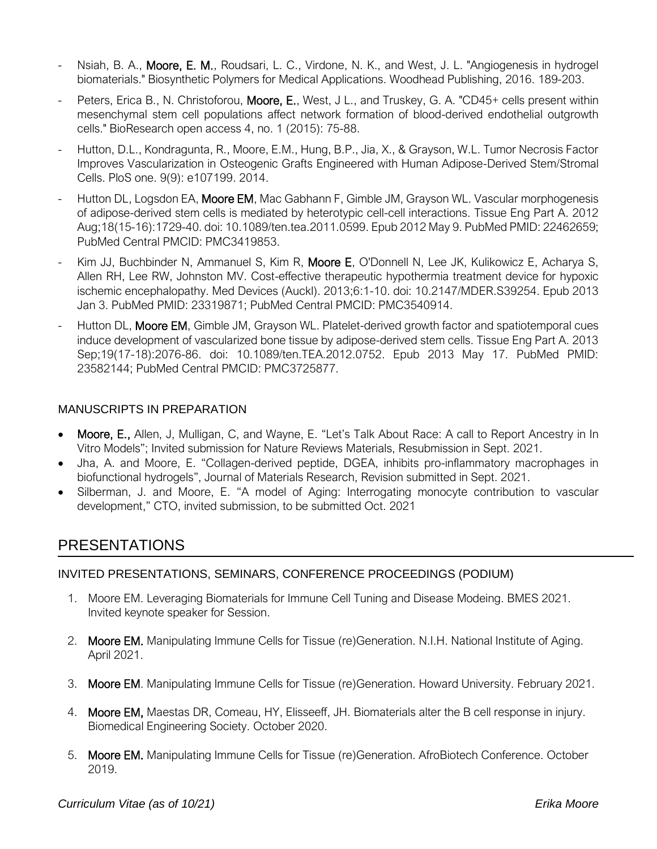- Nsiah, B. A., Moore, E. M., Roudsari, L. C., Virdone, N. K., and West, J. L. "Angiogenesis in hydrogel biomaterials." Biosynthetic Polymers for Medical Applications. Woodhead Publishing, 2016. 189-203.
- Peters, Erica B., N. Christoforou, Moore, E., West, J L., and Truskey, G. A. "CD45+ cells present within mesenchymal stem cell populations affect network formation of blood-derived endothelial outgrowth cells." BioResearch open access 4, no. 1 (2015): 75-88.
- Hutton, D.L., Kondragunta, R., Moore, E.M., Hung, B.P., Jia, X., & Grayson, W.L. Tumor Necrosis Factor Improves Vascularization in Osteogenic Grafts Engineered with Human Adipose-Derived Stem/Stromal Cells. PloS one. 9(9): e107199. 2014.
- Hutton DL, Logsdon EA, Moore EM, Mac Gabhann F, Gimble JM, Grayson WL. Vascular morphogenesis of adipose-derived stem cells is mediated by heterotypic cell-cell interactions. Tissue Eng Part A. 2012 Aug;18(15-16):1729-40. doi: 10.1089/ten.tea.2011.0599. Epub 2012 May 9. PubMed PMID: 22462659; PubMed Central PMCID: PMC3419853.
- Kim JJ, Buchbinder N, Ammanuel S, Kim R, Moore E, O'Donnell N, Lee JK, Kulikowicz E, Acharya S, Allen RH, Lee RW, Johnston MV. Cost-effective therapeutic hypothermia treatment device for hypoxic ischemic encephalopathy. Med Devices (Auckl). 2013;6:1-10. doi: 10.2147/MDER.S39254. Epub 2013 Jan 3. PubMed PMID: 23319871; PubMed Central PMCID: PMC3540914.
- Hutton DL, Moore EM, Gimble JM, Grayson WL. Platelet-derived growth factor and spatiotemporal cues induce development of vascularized bone tissue by adipose-derived stem cells. Tissue Eng Part A. 2013 Sep;19(17-18):2076-86. doi: 10.1089/ten.TEA.2012.0752. Epub 2013 May 17. PubMed PMID: 23582144; PubMed Central PMCID: PMC3725877.

### MANUSCRIPTS IN PREPARATION

- Moore, E., Allen, J, Mulligan, C, and Wayne, E. "Let's Talk About Race: A call to Report Ancestry in In Vitro Models"; Invited submission for Nature Reviews Materials, Resubmission in Sept. 2021.
- Jha, A. and Moore, E. "Collagen-derived peptide, DGEA, inhibits pro-inflammatory macrophages in biofunctional hydrogels", Journal of Materials Research, Revision submitted in Sept. 2021.
- Silberman, J. and Moore, E. "A model of Aging: Interrogating monocyte contribution to vascular development," CTO, invited submission, to be submitted Oct. 2021

# PRESENTATIONS

#### INVITED PRESENTATIONS, SEMINARS, CONFERENCE PROCEEDINGS (PODIUM)

- 1. Moore EM. Leveraging Biomaterials for Immune Cell Tuning and Disease Modeing. BMES 2021. Invited keynote speaker for Session.
- 2. Moore EM. Manipulating Immune Cells for Tissue (re)Generation. N.I.H. National Institute of Aging. April 2021.
- 3. Moore EM. Manipulating Immune Cells for Tissue (re)Generation. Howard University. February 2021.
- 4. Moore EM, Maestas DR, Comeau, HY, Elisseeff, JH. Biomaterials alter the B cell response in injury. Biomedical Engineering Society. October 2020.
- 5. Moore EM. Manipulating Immune Cells for Tissue (re)Generation. AfroBiotech Conference. October 2019.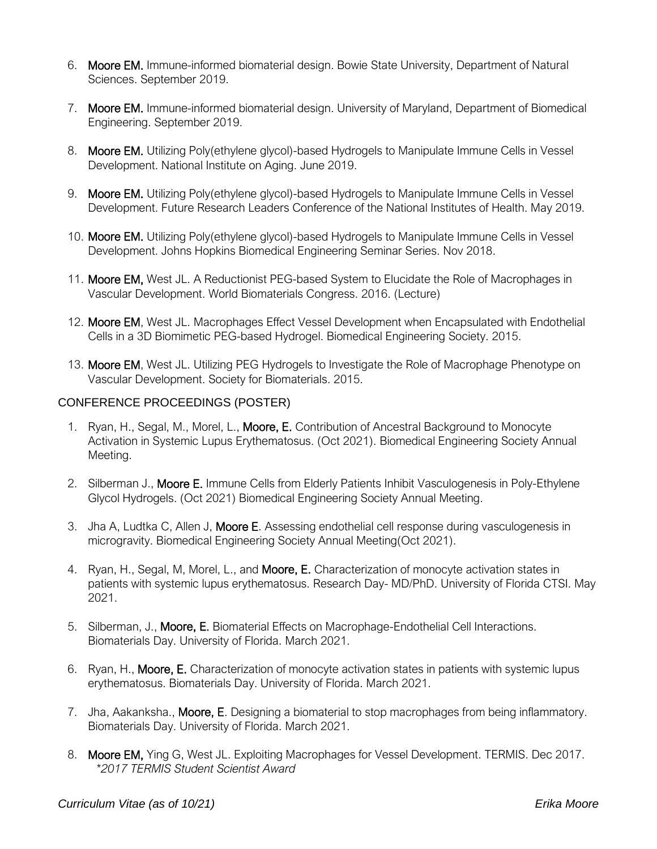- 6. Moore EM. Immune-informed biomaterial design. Bowie State University, Department of Natural Sciences. September 2019.
- 7. Moore EM. Immune-informed biomaterial design. University of Maryland, Department of Biomedical Engineering. September 2019.
- 8. Moore EM. Utilizing Poly(ethylene glycol)-based Hydrogels to Manipulate Immune Cells in Vessel Development. National Institute on Aging. June 2019.
- 9. Moore EM. Utilizing Poly(ethylene glycol)-based Hydrogels to Manipulate Immune Cells in Vessel Development. Future Research Leaders Conference of the National Institutes of Health. May 2019.
- 10. Moore EM. Utilizing Poly(ethylene glycol)-based Hydrogels to Manipulate Immune Cells in Vessel Development. Johns Hopkins Biomedical Engineering Seminar Series. Nov 2018.
- 11. Moore EM, West JL. A Reductionist PEG-based System to Elucidate the Role of Macrophages in Vascular Development. World Biomaterials Congress. 2016. (Lecture)
- 12. Moore EM, West JL. Macrophages Effect Vessel Development when Encapsulated with Endothelial Cells in a 3D Biomimetic PEG-based Hydrogel. Biomedical Engineering Society. 2015.
- 13. Moore EM, West JL. Utilizing PEG Hydrogels to Investigate the Role of Macrophage Phenotype on Vascular Development. Society for Biomaterials. 2015.

#### CONFERENCE PROCEEDINGS (POSTER)

- 1. Ryan, H., Segal, M., Morel, L., Moore, E. Contribution of Ancestral Background to Monocyte Activation in Systemic Lupus Erythematosus. (Oct 2021). Biomedical Engineering Society Annual Meeting.
- 2. Silberman J., Moore E. Immune Cells from Elderly Patients Inhibit Vasculogenesis in Poly-Ethylene Glycol Hydrogels. (Oct 2021) Biomedical Engineering Society Annual Meeting.
- 3. Jha A, Ludtka C, Allen J, Moore E. Assessing endothelial cell response during vasculogenesis in microgravity. Biomedical Engineering Society Annual Meeting(Oct 2021).
- 4. Ryan, H., Segal, M, Morel, L., and Moore, E. Characterization of monocyte activation states in patients with systemic lupus erythematosus. Research Day- MD/PhD. University of Florida CTSI. May 2021.
- 5. Silberman, J., Moore, E. Biomaterial Effects on Macrophage-Endothelial Cell Interactions. Biomaterials Day. University of Florida. March 2021.
- 6. Ryan, H., Moore, E. Characterization of monocyte activation states in patients with systemic lupus erythematosus. Biomaterials Day. University of Florida. March 2021.
- 7. Jha, Aakanksha., Moore, E. Designing a biomaterial to stop macrophages from being inflammatory. Biomaterials Day. University of Florida. March 2021.
- 8. Moore EM, Ying G, West JL. Exploiting Macrophages for Vessel Development. TERMIS. Dec 2017. *\*2017 TERMIS Student Scientist Award*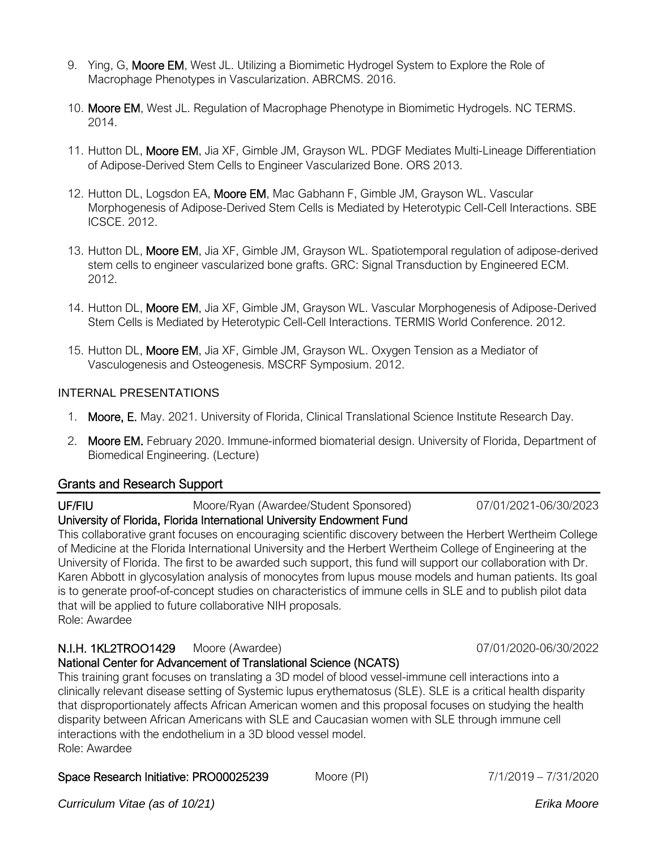- 9. Ying, G, Moore EM, West JL. Utilizing a Biomimetic Hydrogel System to Explore the Role of Macrophage Phenotypes in Vascularization. ABRCMS. 2016.
- 10. Moore EM, West JL. Regulation of Macrophage Phenotype in Biomimetic Hydrogels. NC TERMS. 2014.
- 11. Hutton DL, Moore EM, Jia XF, Gimble JM, Grayson WL. PDGF Mediates Multi-Lineage Differentiation of Adipose-Derived Stem Cells to Engineer Vascularized Bone. ORS 2013.
- 12. Hutton DL, Logsdon EA, Moore EM, Mac Gabhann F, Gimble JM, Grayson WL. Vascular Morphogenesis of Adipose-Derived Stem Cells is Mediated by Heterotypic Cell-Cell Interactions. SBE ICSCE. 2012.
- 13. Hutton DL, Moore EM, Jia XF, Gimble JM, Grayson WL. Spatiotemporal regulation of adipose-derived stem cells to engineer vascularized bone grafts. GRC: Signal Transduction by Engineered ECM. 2012.
- 14. Hutton DL, Moore EM, Jia XF, Gimble JM, Grayson WL. Vascular Morphogenesis of Adipose-Derived Stem Cells is Mediated by Heterotypic Cell-Cell Interactions. TERMIS World Conference. 2012.
- 15. Hutton DL, Moore EM, Jia XF, Gimble JM, Grayson WL. Oxygen Tension as a Mediator of Vasculogenesis and Osteogenesis. MSCRF Symposium. 2012.

#### INTERNAL PRESENTATIONS

- 1. Moore, E. May. 2021. University of Florida, Clinical Translational Science Institute Research Day.
- 2. Moore EM. February 2020. Immune-informed biomaterial design. University of Florida, Department of Biomedical Engineering. (Lecture)

#### Grants and Research Support

UF/FIU Moore/Ryan (Awardee/Student Sponsored) 07/01/2021-06/30/2023

# University of Florida, Florida International University Endowment Fund

This collaborative grant focuses on encouraging scientific discovery between the Herbert Wertheim College of Medicine at the Florida International University and the Herbert Wertheim College of Engineering at the University of Florida. The first to be awarded such support, this fund will support our collaboration with Dr. Karen Abbott in glycosylation analysis of monocytes from lupus mouse models and human patients. Its goal is to generate proof-of-concept studies on characteristics of immune cells in SLE and to publish pilot data that will be applied to future collaborative NIH proposals. Role: Awardee

# N.I.H. 1KL2TROO1429 Moore (Awardee) 07/01/2020-06/30/2022

#### National Center for Advancement of Translational Science (NCATS)

This training grant focuses on translating a 3D model of blood vessel-immune cell interactions into a clinically relevant disease setting of Systemic lupus erythematosus (SLE). SLE is a critical health disparity that disproportionately affects African American women and this proposal focuses on studying the health disparity between African Americans with SLE and Caucasian women with SLE through immune cell interactions with the endothelium in a 3D blood vessel model. Role: Awardee

#### Space Research Initiative: PRO00025239 Moore (PI) 7/1/2019 – 7/31/2020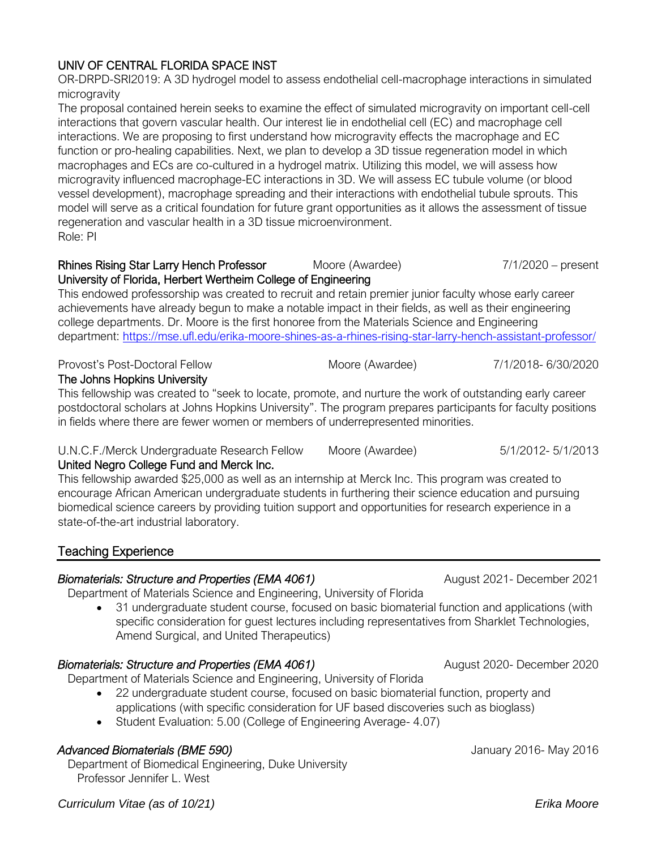*Curriculum Vitae (as of 10/21) Erika Moore*

# UNIV OF CENTRAL FLORIDA SPACE INST

OR-DRPD-SRI2019: A 3D hydrogel model to assess endothelial cell-macrophage interactions in simulated microgravity

The proposal contained herein seeks to examine the effect of simulated microgravity on important cell-cell interactions that govern vascular health. Our interest lie in endothelial cell (EC) and macrophage cell interactions. We are proposing to first understand how microgravity effects the macrophage and EC function or pro-healing capabilities. Next, we plan to develop a 3D tissue regeneration model in which macrophages and ECs are co-cultured in a hydrogel matrix. Utilizing this model, we will assess how microgravity influenced macrophage-EC interactions in 3D. We will assess EC tubule volume (or blood vessel development), macrophage spreading and their interactions with endothelial tubule sprouts. This model will serve as a critical foundation for future grant opportunities as it allows the assessment of tissue regeneration and vascular health in a 3D tissue microenvironment. Role: PI

#### Rhines Rising Star Larry Hench Professor Moore (Awardee) 7/1/2020 – present University of Florida, Herbert Wertheim College of Engineering

This endowed professorship was created to recruit and retain premier junior faculty whose early career achievements have already begun to make a notable impact in their fields, as well as their engineering college departments. Dr. Moore is the first honoree from the Materials Science and Engineering department:<https://mse.ufl.edu/erika-moore-shines-as-a-rhines-rising-star-larry-hench-assistant-professor/>

#### Provost's Post-Doctoral Fellow Moore (Awardee) 7/1/2018- 6/30/2020 The Johns Hopkins University

This fellowship was created to "seek to locate, promote, and nurture the work of outstanding early career postdoctoral scholars at Johns Hopkins University". The program prepares participants for faculty positions in fields where there are fewer women or members of underrepresented minorities.

#### U.N.C.F./Merck Undergraduate Research Fellow Moore (Awardee) 5/1/2012- 5/1/2013

# United Negro College Fund and Merck Inc.

This fellowship awarded \$25,000 as well as an internship at Merck Inc. This program was created to encourage African American undergraduate students in furthering their science education and pursuing biomedical science careers by providing tuition support and opportunities for research experience in a state-of-the-art industrial laboratory.

# Teaching Experience

# *Biomaterials: Structure and Properties (EMA 4061)* August 2021- December 2021

Department of Materials Science and Engineering, University of Florida

• 31 undergraduate student course, focused on basic biomaterial function and applications (with specific consideration for guest lectures including representatives from Sharklet Technologies, Amend Surgical, and United Therapeutics)

# *Biomaterials: Structure and Properties (EMA 4061)* August 2020- December 2020

Department of Materials Science and Engineering, University of Florida

- 22 undergraduate student course, focused on basic biomaterial function, property and applications (with specific consideration for UF based discoveries such as bioglass)
- Student Evaluation: 5.00 (College of Engineering Average- 4.07)

# **Advanced Biomaterials (BME 590) Contract Contract Contract Contract Contract Contract Contract Contract Contract Contract Contract Contract Contract Contract Contract Contract Contract Contract Contract Contract Contrac**

Department of Biomedical Engineering, Duke University Professor Jennifer L. West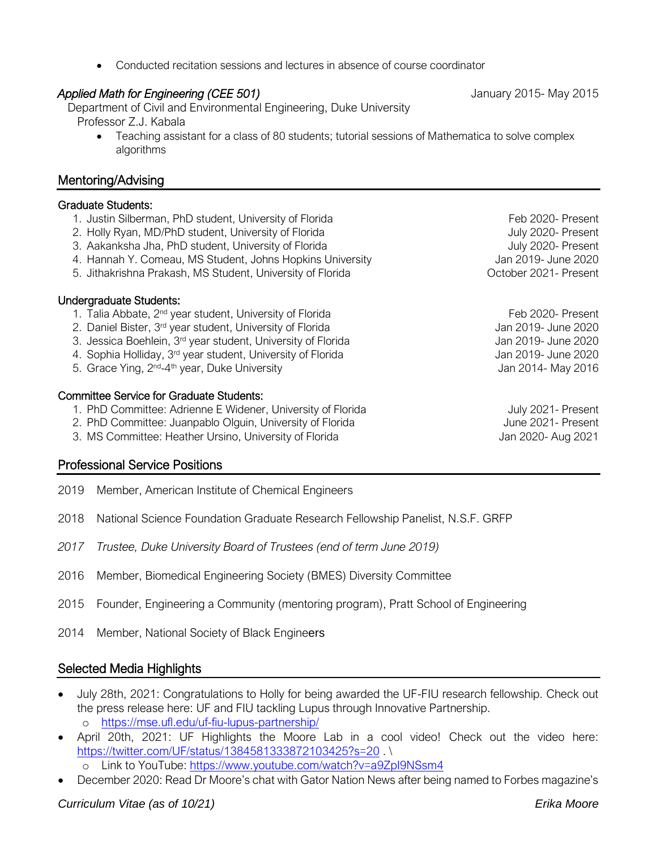*Curriculum Vitae (as of 10/21) Erika Moore*

• Conducted recitation sessions and lectures in absence of course coordinator

# *Applied Math for Engineering (CEE 501)* January 2015- May 2015

Department of Civil and Environmental Engineering, Duke University Professor Z.J. Kabala

• Teaching assistant for a class of 80 students; tutorial sessions of Mathematica to solve complex algorithms

# Mentoring/Advising

# Graduate Students:

1. Justin Silberman, PhD student, University of Florida Feb 2020- Present 2. Holly Ryan, MD/PhD student, University of Florida July 2020- Present 3. Aakanksha Jha, PhD student, University of Florida July 2020- Present 4. Hannah Y. Comeau, MS Student, Johns Hopkins University Jan 2019- June 2020 5. Jithakrishna Prakash, MS Student, University of Florida **Canada Concept Concept Concept Concept** October 2021- Present Undergraduate Students: 1. Talia Abbate, 2<sup>nd</sup> year student, University of Florida Feb 2020- Present 2. Daniel Bister, 3<sup>rd</sup> year student, University of Florida Jan 2019- June 2020 Jan 2019- June 2020 3. Jessica Boehlein, 3<sup>rd</sup> year student, University of Florida Jan 2019- June 2020 4. Sophia Holliday, 3<sup>rd</sup> year student, University of Florida Jan 2019- June 2020 Jan 2019- June 2020 5. Grace Ying, 2<sup>nd</sup>-4<sup>th</sup> year, Duke University **Source Access 2014** Jan 2014- May 2016 Committee Service for Graduate Students: 1. PhD Committee: Adrienne E Widener, University of Florida **July 2021-** Present 2. PhD Committee: Juanpablo Olguin, University of Florida Superson Muslem Committee: Juanpablo Olguin, University of Florida 3. MS Committee: Heather Ursino, University of Florida Jan 2020- Aug 2021

# Professional Service Positions

- 2019 Member, American Institute of Chemical Engineers
- 2018 National Science Foundation Graduate Research Fellowship Panelist, N.S.F. GRFP
- *2017 Trustee, Duke University Board of Trustees (end of term June 2019)*
- 2016 Member, Biomedical Engineering Society (BMES) Diversity Committee
- 2015 Founder, Engineering a Community (mentoring program), Pratt School of Engineering
- 2014 Member, National Society of Black Engineers

# Selected Media Highlights

- July 28th, 2021: Congratulations to Holly for being awarded the UF-FIU research fellowship. Check out the press release here: UF and FIU tackling Lupus through Innovative Partnership. o <https://mse.ufl.edu/uf-fiu-lupus-partnership/>
- April 20th, 2021: UF Highlights the Moore Lab in a cool video! Check out the video here: <https://twitter.com/UF/status/1384581333872103425?s=20>.

o Link to YouTube:<https://www.youtube.com/watch?v=a9ZpI9NSsm4>

• December 2020: Read Dr Moore's chat with Gator Nation News after being named to Forbes magazine's